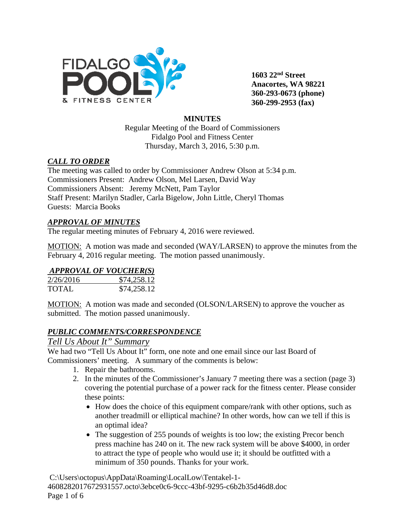

**1603 22nd Street Anacortes, WA 98221 360-293-0673 (phone) 360-299-2953 (fax)**

### **MINUTES**

Regular Meeting of the Board of Commissioners Fidalgo Pool and Fitness Center Thursday, March 3, 2016, 5:30 p.m.

### *CALL TO ORDER*

The meeting was called to order by Commissioner Andrew Olson at 5:34 p.m. Commissioners Present: Andrew Olson, Mel Larsen, David Way Commissioners Absent: Jeremy McNett, Pam Taylor Staff Present: Marilyn Stadler, Carla Bigelow, John Little, Cheryl Thomas Guests: Marcia Books

### *APPROVAL OF MINUTES*

The regular meeting minutes of February 4, 2016 were reviewed.

MOTION: A motion was made and seconded (WAY/LARSEN) to approve the minutes from the February 4, 2016 regular meeting. The motion passed unanimously.

### *APPROVAL OF VOUCHER(S)*

| 2/26/2016    | \$74,258.12 |
|--------------|-------------|
| <b>TOTAL</b> | \$74,258.12 |

MOTION: A motion was made and seconded (OLSON/LARSEN) to approve the voucher as submitted. The motion passed unanimously.

### *PUBLIC COMMENTS/CORRESPONDENCE*

### *Tell Us About It" Summary*

We had two "Tell Us About It" form, one note and one email since our last Board of Commissioners' meeting. A summary of the comments is below:

- 1. Repair the bathrooms.
- 2. In the minutes of the Commissioner's January 7 meeting there was a section (page 3) covering the potential purchase of a power rack for the fitness center. Please consider these points:
	- How does the choice of this equipment compare/rank with other options, such as another treadmill or elliptical machine? In other words, how can we tell if this is an optimal idea?
	- The suggestion of 255 pounds of weights is too low; the existing Precor bench press machine has 240 on it. The new rack system will be above \$4000, in order to attract the type of people who would use it; it should be outfitted with a minimum of 350 pounds. Thanks for your work.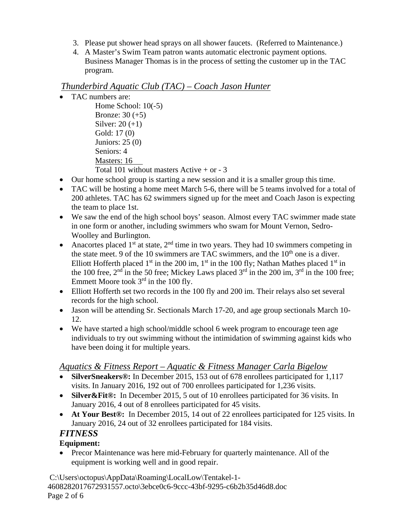- 3. Please put shower head sprays on all shower faucets. (Referred to Maintenance.)
- 4. A Master's Swim Team patron wants automatic electronic payment options. Business Manager Thomas is in the process of setting the customer up in the TAC program.

# *Thunderbird Aquatic Club (TAC) – Coach Jason Hunter*

- TAC numbers are:
	- Home School:  $10(-5)$ Bronze: 30 (+5) Silver: 20 (+1) Gold: 17 (0) Juniors: 25 (0) Seniors: 4 Masters: 16 Total 101 without masters Active  $+$  or  $-3$
- Our home school group is starting a new session and it is a smaller group this time.
- TAC will be hosting a home meet March 5-6, there will be 5 teams involved for a total of 200 athletes. TAC has 62 swimmers signed up for the meet and Coach Jason is expecting the team to place 1st.
- We saw the end of the high school boys' season. Almost every TAC swimmer made state in one form or another, including swimmers who swam for Mount Vernon, Sedro-Woolley and Burlington.
- Anacortes placed 1<sup>st</sup> at state,  $2<sup>nd</sup>$  time in two years. They had 10 swimmers competing in the state meet. 9 of the 10 swimmers are TAC swimmers, and the  $10<sup>th</sup>$  one is a diver. Elliott Hofferth placed 1<sup>st</sup> in the 200 im, 1<sup>st</sup> in the 100 fly; Nathan Mathes placed 1<sup>st</sup> in the 100 free,  $2<sup>nd</sup>$  in the 50 free; Mickey Laws placed  $3<sup>rd</sup>$  in the 200 im,  $3<sup>rd</sup>$  in the 100 free; Emmett Moore took  $3<sup>rd</sup>$  in the 100 fly.
- Elliott Hofferth set two records in the 100 fly and 200 im. Their relays also set several records for the high school.
- Jason will be attending Sr. Sectionals March 17-20, and age group sectionals March 10- 12.
- We have started a high school/middle school 6 week program to encourage teen age individuals to try out swimming without the intimidation of swimming against kids who have been doing it for multiple years.

# *Aquatics & Fitness Report – Aquatic & Fitness Manager Carla Bigelow*

- **SilverSneakers®:** In December 2015, 153 out of 678 enrollees participated for 1,117 visits. In January 2016, 192 out of 700 enrollees participated for 1,236 visits.
- **Silver&Fit®:** In December 2015, 5 out of 10 enrollees participated for 36 visits. In January 2016, 4 out of 8 enrollees participated for 45 visits.
- **At Your Best®:** In December 2015, 14 out of 22 enrollees participated for 125 visits. In January 2016, 24 out of 32 enrollees participated for 184 visits.

# *FITNESS*

# **Equipment:**

• Precor Maintenance was here mid-February for quarterly maintenance. All of the equipment is working well and in good repair.

C:\Users\octopus\AppData\Roaming\LocalLow\Tentakel-1- 4608282017672931557.octo\3ebce0c6-9ccc-43bf-9295-c6b2b35d46d8.doc Page 2 of 6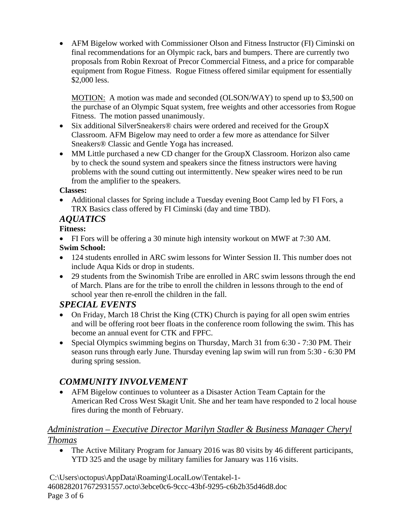• AFM Bigelow worked with Commissioner Olson and Fitness Instructor (FI) Ciminski on final recommendations for an Olympic rack, bars and bumpers. There are currently two proposals from Robin Rexroat of Precor Commercial Fitness, and a price for comparable equipment from Rogue Fitness. Rogue Fitness offered similar equipment for essentially \$2,000 less.

MOTION: A motion was made and seconded (OLSON/WAY) to spend up to \$3,500 on the purchase of an Olympic Squat system, free weights and other accessories from Rogue Fitness. The motion passed unanimously.

- Six additional SilverSneakers<sup>®</sup> chairs were ordered and received for the GroupX Classroom. AFM Bigelow may need to order a few more as attendance for Silver Sneakers® Classic and Gentle Yoga has increased.
- MM Little purchased a new CD changer for the GroupX Classroom. Horizon also came by to check the sound system and speakers since the fitness instructors were having problems with the sound cutting out intermittently. New speaker wires need to be run from the amplifier to the speakers.

### **Classes:**

• Additional classes for Spring include a Tuesday evening Boot Camp led by FI Fors, a TRX Basics class offered by FI Ciminski (day and time TBD).

# *AQUATICS*

### **Fitness:**

• FI Fors will be offering a 30 minute high intensity workout on MWF at 7:30 AM.

### **Swim School:**

- 124 students enrolled in ARC swim lessons for Winter Session II. This number does not include Aqua Kids or drop in students.
- 29 students from the Swinomish Tribe are enrolled in ARC swim lessons through the end of March. Plans are for the tribe to enroll the children in lessons through to the end of school year then re-enroll the children in the fall.

# *SPECIAL EVENTS*

- On Friday, March 18 Christ the King (CTK) Church is paying for all open swim entries and will be offering root beer floats in the conference room following the swim. This has become an annual event for CTK and FPFC.
- Special Olympics swimming begins on Thursday, March 31 from 6:30 7:30 PM. Their season runs through early June. Thursday evening lap swim will run from 5:30 - 6:30 PM during spring session.

# *COMMUNITY INVOLVEMENT*

• AFM Bigelow continues to volunteer as a Disaster Action Team Captain for the American Red Cross West Skagit Unit. She and her team have responded to 2 local house fires during the month of February.

# *Administration – Executive Director Marilyn Stadler & Business Manager Cheryl Thomas*

• The Active Military Program for January 2016 was 80 visits by 46 different participants, YTD 325 and the usage by military families for January was 116 visits.

C:\Users\octopus\AppData\Roaming\LocalLow\Tentakel-1- 4608282017672931557.octo\3ebce0c6-9ccc-43bf-9295-c6b2b35d46d8.doc Page 3 of 6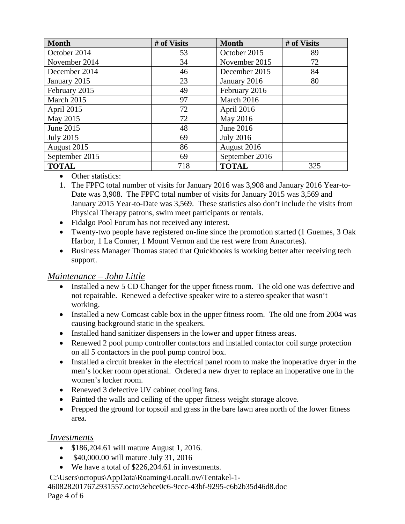| <b>Month</b>     | # of Visits | <b>Month</b>        | # of Visits |  |
|------------------|-------------|---------------------|-------------|--|
| October 2014     | 53          | October 2015        | 89          |  |
| November 2014    | 34          | November 2015       | 72          |  |
| December 2014    | 46          | December 2015       | 84          |  |
| January 2015     | 23          | January 2016        | 80          |  |
| February 2015    | 49          | February 2016       |             |  |
| March 2015       | 97          | March 2016          |             |  |
| April 2015       | 72          | April 2016          |             |  |
| May 2015         | 72          | May 2016            |             |  |
| June 2015        | 48          | June 2016           |             |  |
| <b>July 2015</b> | 69          | <b>July 2016</b>    |             |  |
| August 2015      | 86          | August 2016         |             |  |
| September 2015   | 69          | September 2016      |             |  |
| <b>TOTAL</b>     | 718         | <b>TOTAL</b><br>325 |             |  |

- Other statistics:
- 1. The FPFC total number of visits for January 2016 was 3,908 and January 2016 Year-to-Date was 3,908. The FPFC total number of visits for January 2015 was 3,569 and January 2015 Year-to-Date was 3,569. These statistics also don't include the visits from Physical Therapy patrons, swim meet participants or rentals.
- Fidalgo Pool Forum has not received any interest.
- Twenty-two people have registered on-line since the promotion started (1 Guemes, 3 Oak Harbor, 1 La Conner, 1 Mount Vernon and the rest were from Anacortes).
- Business Manager Thomas stated that Quickbooks is working better after receiving tech support.

### *Maintenance – John Little*

- Installed a new 5 CD Changer for the upper fitness room. The old one was defective and not repairable. Renewed a defective speaker wire to a stereo speaker that wasn't working.
- Installed a new Comcast cable box in the upper fitness room. The old one from 2004 was causing background static in the speakers.
- Installed hand sanitizer dispensers in the lower and upper fitness areas.
- Renewed 2 pool pump controller contactors and installed contactor coil surge protection on all 5 contactors in the pool pump control box.
- Installed a circuit breaker in the electrical panel room to make the inoperative dryer in the men's locker room operational. Ordered a new dryer to replace an inoperative one in the women's locker room.
- Renewed 3 defective UV cabinet cooling fans.
- Painted the walls and ceiling of the upper fitness weight storage alcove.
- Prepped the ground for topsoil and grass in the bare lawn area north of the lower fitness area.

### *Investments*

- \$186,204.61 will mature August 1, 2016.
- \$40,000.00 will mature July 31, 2016
- We have a total of \$226,204.61 in investments.

C:\Users\octopus\AppData\Roaming\LocalLow\Tentakel-1-

4608282017672931557.octo\3ebce0c6-9ccc-43bf-9295-c6b2b35d46d8.doc

Page 4 of 6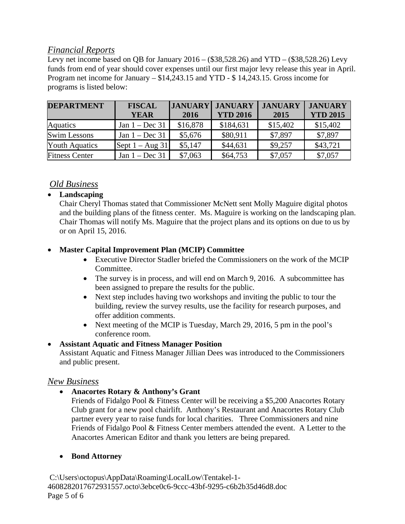# *Financial Reports*

Levy net income based on OB for January  $2016 - (\$38,528.26)$  and YTD –  $(\$38,528.26)$  Levy funds from end of year should cover expenses until our first major levy release this year in April. Program net income for January – \$14,243.15 and YTD - \$ 14,243.15. Gross income for programs is listed below:

| <b>DEPARTMENT</b>     | <b>FISCAL</b>     |          | <b>JANUARY JANUARY</b> | <b>JANUARY</b> | <b>JANUARY</b>  |
|-----------------------|-------------------|----------|------------------------|----------------|-----------------|
|                       | <b>YEAR</b>       | 2016     | <b>YTD 2016</b>        | 2015           | <b>YTD 2015</b> |
| <b>Aquatics</b>       | Jan $1 - Dec 31$  | \$16,878 | \$184,631              | \$15,402       | \$15,402        |
| <b>Swim Lessons</b>   | Jan $1 - Dec 31$  | \$5,676  | \$80,911               | \$7,897        | \$7,897         |
| <b>Youth Aquatics</b> | Sept $1 - Aug$ 31 | \$5,147  | \$44,631               | \$9,257        | \$43,721        |
| <b>Fitness Center</b> | Jan $1 - Dec 31$  | \$7,063  | \$64,753               | \$7,057        | \$7,057         |

# *Old Business*

### • **Landscaping**

Chair Cheryl Thomas stated that Commissioner McNett sent Molly Maguire digital photos and the building plans of the fitness center. Ms. Maguire is working on the landscaping plan. Chair Thomas will notify Ms. Maguire that the project plans and its options on due to us by or on April 15, 2016.

### • **Master Capital Improvement Plan (MCIP) Committee**

- Executive Director Stadler briefed the Commissioners on the work of the MCIP Committee.
- The survey is in process, and will end on March 9, 2016. A subcommittee has been assigned to prepare the results for the public.
- Next step includes having two workshops and inviting the public to tour the building, review the survey results, use the facility for research purposes, and offer addition comments.
- Next meeting of the MCIP is Tuesday, March 29, 2016, 5 pm in the pool's conference room.

### • **Assistant Aquatic and Fitness Manager Position**

Assistant Aquatic and Fitness Manager Jillian Dees was introduced to the Commissioners and public present.

### *New Business*

### • **Anacortes Rotary & Anthony's Grant**

Friends of Fidalgo Pool & Fitness Center will be receiving a \$5,200 Anacortes Rotary Club grant for a new pool chairlift. Anthony's Restaurant and Anacortes Rotary Club partner every year to raise funds for local charities. Three Commissioners and nine Friends of Fidalgo Pool & Fitness Center members attended the event. A Letter to the Anacortes American Editor and thank you letters are being prepared.

### • **Bond Attorney**

C:\Users\octopus\AppData\Roaming\LocalLow\Tentakel-1- 4608282017672931557.octo\3ebce0c6-9ccc-43bf-9295-c6b2b35d46d8.doc Page 5 of 6